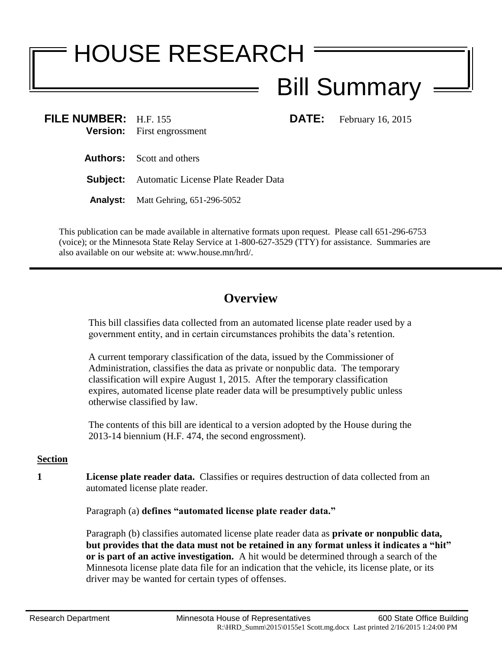# HOUSE RESEARCH

# Bill Summary

**FILE NUMBER:** H.F. 155 **DATE:** February 16, 2015 **Version:** First engrossment

**Authors:** Scott and others

**Subject:** Automatic License Plate Reader Data

**Analyst:** Matt Gehring, 651-296-5052

This publication can be made available in alternative formats upon request. Please call 651-296-6753 (voice); or the Minnesota State Relay Service at 1-800-627-3529 (TTY) for assistance. Summaries are also available on our website at: www.house.mn/hrd/.

## **Overview**

This bill classifies data collected from an automated license plate reader used by a government entity, and in certain circumstances prohibits the data's retention.

A current temporary classification of the data, issued by the Commissioner of Administration, classifies the data as private or nonpublic data. The temporary classification will expire August 1, 2015. After the temporary classification expires, automated license plate reader data will be presumptively public unless otherwise classified by law.

The contents of this bill are identical to a version adopted by the House during the 2013-14 biennium (H.F. 474, the second engrossment).

### **Section**

**1 License plate reader data.** Classifies or requires destruction of data collected from an automated license plate reader.

Paragraph (a) **defines "automated license plate reader data."**

Paragraph (b) classifies automated license plate reader data as **private or nonpublic data, but provides that the data must not be retained in any format unless it indicates a "hit" or is part of an active investigation.** A hit would be determined through a search of the Minnesota license plate data file for an indication that the vehicle, its license plate, or its driver may be wanted for certain types of offenses.